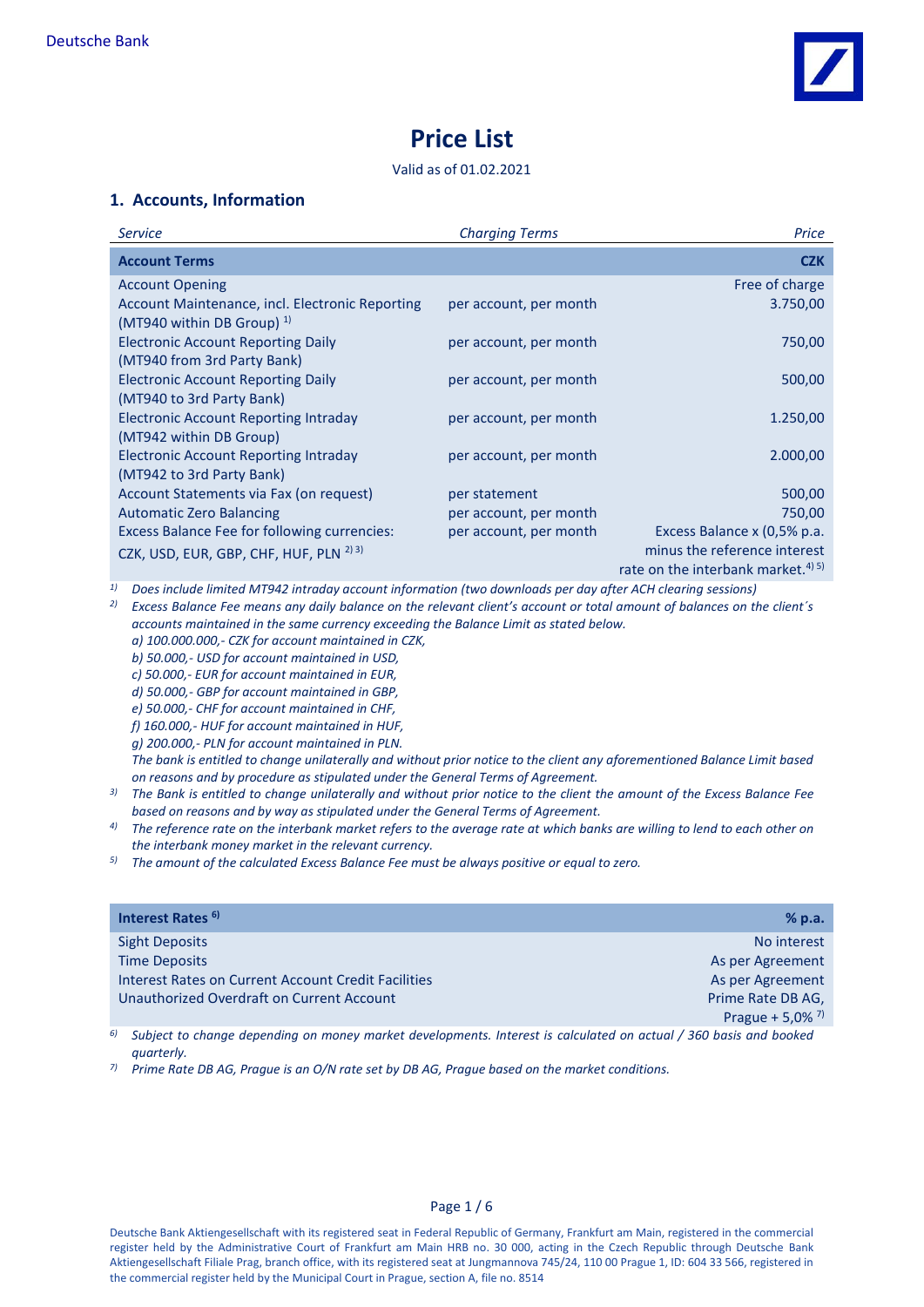

# **Price List**

#### Valid as of 01.02.2021

## **1. Accounts, Information**

| <b>Service</b>                                     | <b>Charging Terms</b>  | Price                                          |
|----------------------------------------------------|------------------------|------------------------------------------------|
| <b>Account Terms</b>                               |                        | <b>CZK</b>                                     |
| <b>Account Opening</b>                             |                        | Free of charge                                 |
| Account Maintenance, incl. Electronic Reporting    | per account, per month | 3.750,00                                       |
| (MT940 within DB Group) $^{1}$                     |                        |                                                |
| <b>Electronic Account Reporting Daily</b>          | per account, per month | 750,00                                         |
| (MT940 from 3rd Party Bank)                        |                        |                                                |
| <b>Electronic Account Reporting Daily</b>          | per account, per month | 500,00                                         |
| (MT940 to 3rd Party Bank)                          |                        |                                                |
| <b>Electronic Account Reporting Intraday</b>       | per account, per month | 1.250,00                                       |
| (MT942 within DB Group)                            |                        |                                                |
| <b>Electronic Account Reporting Intraday</b>       | per account, per month | 2.000,00                                       |
| (MT942 to 3rd Party Bank)                          |                        |                                                |
| Account Statements via Fax (on request)            | per statement          | 500,00                                         |
| <b>Automatic Zero Balancing</b>                    | per account, per month | 750,00                                         |
| Excess Balance Fee for following currencies:       | per account, per month | Excess Balance x (0,5% p.a.                    |
| CZK, USD, EUR, GBP, CHF, HUF, PLN <sup>2) 3)</sup> |                        | minus the reference interest                   |
|                                                    |                        | rate on the interbank market. <sup>4) 5)</sup> |

*1) Does include limited MT942 intraday account information (two downloads per day after ACH clearing sessions)*

*2) Excess Balance Fee means any daily balance on the relevant client's account or total amount of balances on the client´s accounts maintained in the same currency exceeding the Balance Limit as stated below.* 

*a) 100.000.000,- CZK for account maintained in CZK, b) 50.000,- USD for account maintained in USD, c) 50.000,- EUR for account maintained in EUR,*

*d) 50.000,- GBP for account maintained in GBP,*

*e) 50.000,- CHF for account maintained in CHF,*

*f) 160.000,- HUF for account maintained in HUF,*

*g) 200.000,- PLN for account maintained in PLN.*

*The bank is entitled to change unilaterally and without prior notice to the client any aforementioned Balance Limit based on reasons and by procedure as stipulated under the General Terms of Agreement.*

- *3) The Bank is entitled to change unilaterally and without prior notice to the client the amount of the Excess Balance Fee based on reasons and by way as stipulated under the General Terms of Agreement.*
- *4) The reference rate on the interbank market refers to the average rate at which banks are willing to lend to each other on the interbank money market in the relevant currency.*

*5) The amount of the calculated Excess Balance Fee must be always positive or equal to zero.*

| Interest Rates <sup>6</sup>                                | % p.a.               |
|------------------------------------------------------------|----------------------|
| <b>Sight Deposits</b>                                      | No interest          |
| <b>Time Deposits</b>                                       | As per Agreement     |
| <b>Interest Rates on Current Account Credit Facilities</b> | As per Agreement     |
| Unauthorized Overdraft on Current Account                  | Prime Rate DB AG,    |
|                                                            | Prague + 5,0% $^{7}$ |

*6) Subject to change depending on money market developments. Interest is calculated on actual / 360 basis and booked quarterly.*

*7) Prime Rate DB AG, Prague is an O/N rate set by DB AG, Prague based on the market conditions.*

Page 1 / 6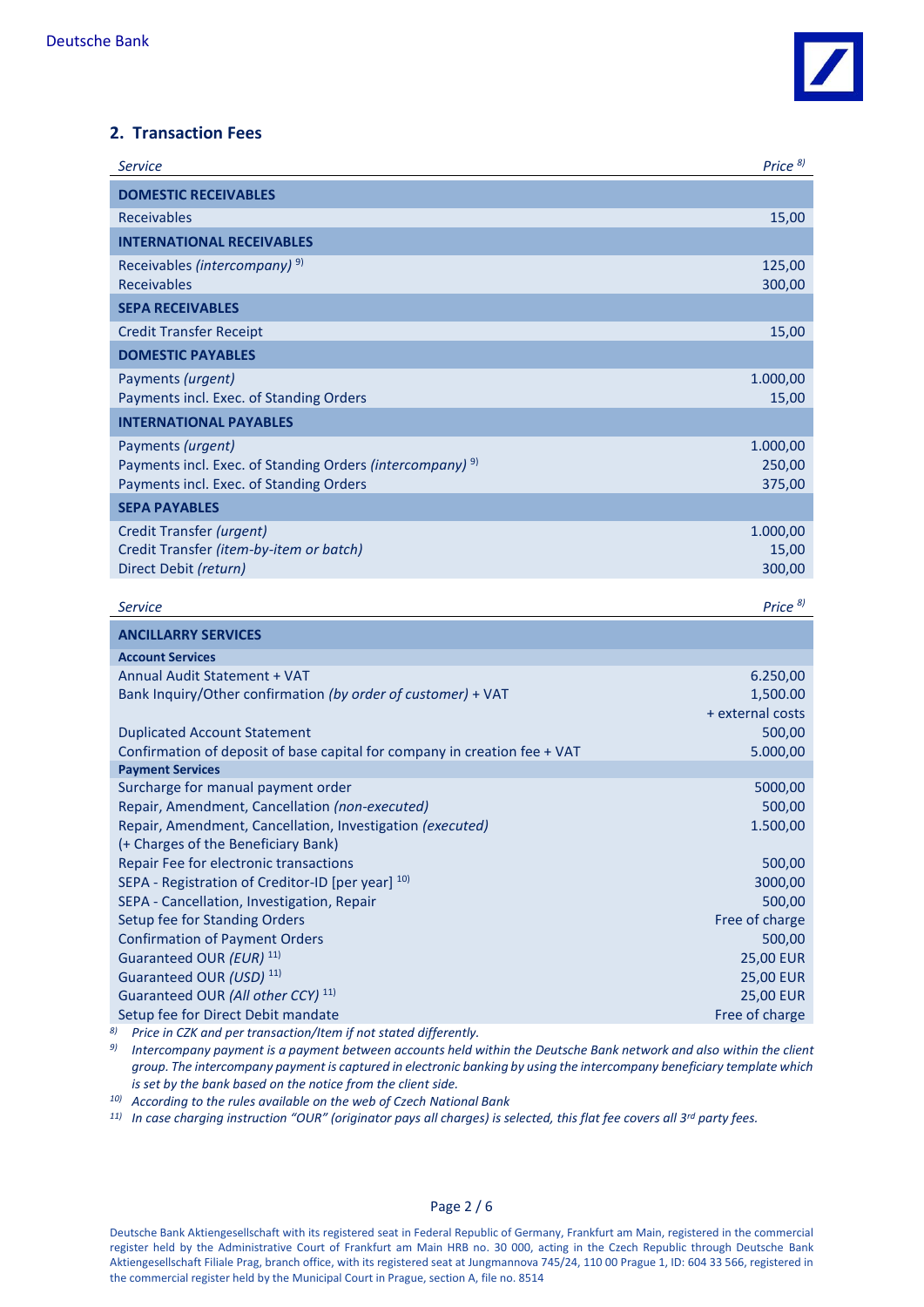

### **2. Transaction Fees**

| <b>Service</b>                                                                                                   | Price <sup>8)</sup> |
|------------------------------------------------------------------------------------------------------------------|---------------------|
| <b>DOMESTIC RECEIVABLES</b>                                                                                      |                     |
| Receivables                                                                                                      | 15,00               |
| <b>INTERNATIONAL RECEIVABLES</b>                                                                                 |                     |
| Receivables (intercompany) <sup>9)</sup>                                                                         | 125,00              |
| <b>Receivables</b>                                                                                               | 300,00              |
| <b>SEPA RECEIVABLES</b>                                                                                          |                     |
| <b>Credit Transfer Receipt</b>                                                                                   | 15,00               |
| <b>DOMESTIC PAYABLES</b>                                                                                         |                     |
| Payments (urgent)                                                                                                | 1.000,00            |
| Payments incl. Exec. of Standing Orders                                                                          | 15,00               |
| <b>INTERNATIONAL PAYABLES</b>                                                                                    |                     |
| Payments (urgent)                                                                                                | 1.000,00            |
| Payments incl. Exec. of Standing Orders (intercompany) <sup>9)</sup>                                             | 250,00              |
| Payments incl. Exec. of Standing Orders                                                                          | 375,00              |
| <b>SEPA PAYABLES</b>                                                                                             |                     |
| Credit Transfer (urgent)                                                                                         | 1.000,00            |
| Credit Transfer (item-by-item or batch)                                                                          | 15,00               |
| Direct Debit (return)                                                                                            | 300,00              |
| <b>Service</b>                                                                                                   | Price <sup>8)</sup> |
| <b>ANCILLARRY SERVICES</b>                                                                                       |                     |
| <b>Account Services</b>                                                                                          |                     |
| Annual Audit Statement + VAT                                                                                     | 6.250,00            |
| Bank Inquiry/Other confirmation (by order of customer) + VAT                                                     | 1,500.00            |
|                                                                                                                  | + external costs    |
| <b>Duplicated Account Statement</b><br>Confirmation of deposit of base capital for company in creation fee + VAT | 500,00<br>5.000,00  |
| <b>Payment Services</b>                                                                                          |                     |
| Surcharge for manual payment order                                                                               | 5000,00             |
| Repair, Amendment, Cancellation (non-executed)                                                                   | 500,00              |
| Repair, Amendment, Cancellation, Investigation (executed)                                                        | 1.500,00            |
| (+ Charges of the Beneficiary Bank)                                                                              |                     |
| Repair Fee for electronic transactions                                                                           | 500,00              |
| SEPA - Registration of Creditor-ID [per year] 10)<br>SEPA - Cancellation, Investigation, Repair                  | 3000,00<br>500,00   |
| Setup fee for Standing Orders                                                                                    | Free of charge      |
| <b>Confirmation of Payment Orders</b>                                                                            | 500,00              |
| Guaranteed OUR (EUR) 11)                                                                                         | <b>25,00 EUR</b>    |
| Guaranteed OUR (USD) <sup>11)</sup>                                                                              | <b>25,00 EUR</b>    |
| Guaranteed OUR (All other CCY) <sup>11)</sup>                                                                    | <b>25,00 EUR</b>    |
| Setup fee for Direct Debit mandate                                                                               | Free of charge      |
| Price in CZK and per transaction/Item if not stated differently.                                                 |                     |

*9) Intercompany payment is a payment between accounts held within the Deutsche Bank network and also within the client group. The intercompany payment is captured in electronic banking by using the intercompany beneficiary template which is set by the bank based on the notice from the client side.*

*10) According to the rules available on the web of Czech National Bank* 

*11) In case charging instruction "OUR" (originator pays all charges) is selected, this flat fee covers all 3rd party fees.*

#### Page 2 / 6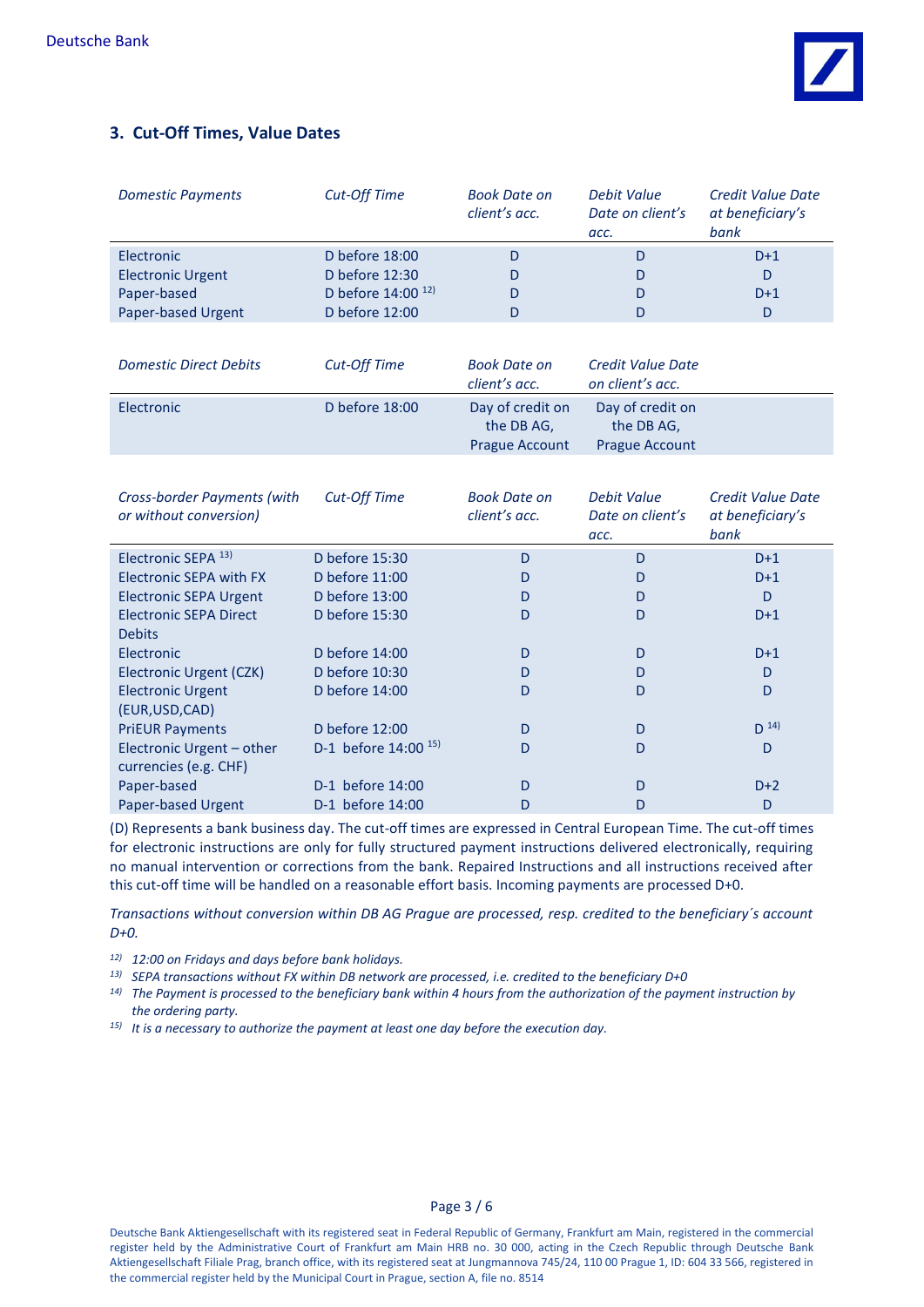

## **3. Cut-Off Times, Value Dates**

| <b>Domestic Payments</b> | Cut-Off Time                  | <b>Book Date on</b><br>client's acc. | Debit Value<br>Date on client's<br>acc. | Credit Value Date<br>at beneficiary's<br>bank |
|--------------------------|-------------------------------|--------------------------------------|-----------------------------------------|-----------------------------------------------|
| Electronic               | D before 18:00                |                                      |                                         | $D+1$                                         |
| <b>Electronic Urgent</b> | D before 12:30                |                                      |                                         | D                                             |
| Paper-based              | D before 14:00 <sup>12)</sup> |                                      |                                         | $D+1$                                         |
| Paper-based Urgent       | D before 12:00                |                                      |                                         | D                                             |

| <b>Domestic Direct Debits</b> | Cut-Off Time   | Book Date on<br>client's acc.                           | Credit Value Date<br>on client's acc.                   |
|-------------------------------|----------------|---------------------------------------------------------|---------------------------------------------------------|
| Electronic                    | D before 18:00 | Day of credit on<br>the DB AG,<br><b>Prague Account</b> | Day of credit on<br>the DB AG.<br><b>Prague Account</b> |

| Cross-border Payments (with<br>or without conversion) | <b>Cut-Off Time</b>     | <b>Book Date on</b><br>client's acc. | Debit Value<br>Date on client's<br>acc. | Credit Value Date<br>at beneficiary's<br>bank |
|-------------------------------------------------------|-------------------------|--------------------------------------|-----------------------------------------|-----------------------------------------------|
| Electronic SEPA 13)                                   | D before 15:30          | D                                    | D                                       | $D+1$                                         |
| <b>Electronic SEPA with FX</b>                        | D before $11:00$        | D                                    | D                                       | $D+1$                                         |
| <b>Electronic SEPA Urgent</b>                         | D before 13:00          | D                                    | D                                       | D                                             |
| <b>Electronic SEPA Direct</b>                         | D before 15:30          | D                                    | D                                       | $D+1$                                         |
| <b>Debits</b>                                         |                         |                                      |                                         |                                               |
| Electronic                                            | D before $14:00$        | D                                    | D                                       | $D+1$                                         |
| Electronic Urgent (CZK)                               | D before 10:30          | D                                    | D                                       | D                                             |
| <b>Electronic Urgent</b>                              | D before $14:00$        | D                                    | D                                       | D                                             |
| (EUR, USD, CAD)                                       |                         |                                      |                                         |                                               |
| <b>PriEUR Payments</b>                                | D before 12:00          | D                                    | D                                       | $D^{14}$                                      |
| Electronic Urgent - other                             | D-1 before $14:00^{15}$ | D                                    | D                                       | D                                             |
| currencies (e.g. CHF)                                 |                         |                                      |                                         |                                               |
| Paper-based                                           | D-1 before 14:00        | D                                    | D                                       | $D+2$                                         |
| <b>Paper-based Urgent</b>                             | D-1 before 14:00        | D                                    | D                                       | D                                             |

(D) Represents a bank business day. The cut-off times are expressed in Central European Time. The cut-off times for electronic instructions are only for fully structured payment instructions delivered electronically, requiring no manual intervention or corrections from the bank. Repaired Instructions and all instructions received after this cut-off time will be handled on a reasonable effort basis. Incoming payments are processed D+0.

*Transactions without conversion within DB AG Prague are processed, resp. credited to the beneficiary´s account D+0.*

*12) 12:00 on Fridays and days before bank holidays.*

- *13) SEPA transactions without FX within DB network are processed, i.e. credited to the beneficiary D+0*
- *14) The Payment is processed to the beneficiary bank within 4 hours from the authorization of the payment instruction by the ordering party.*
- *15) It is a necessary to authorize the payment at least one day before the execution day.*

Page 3 / 6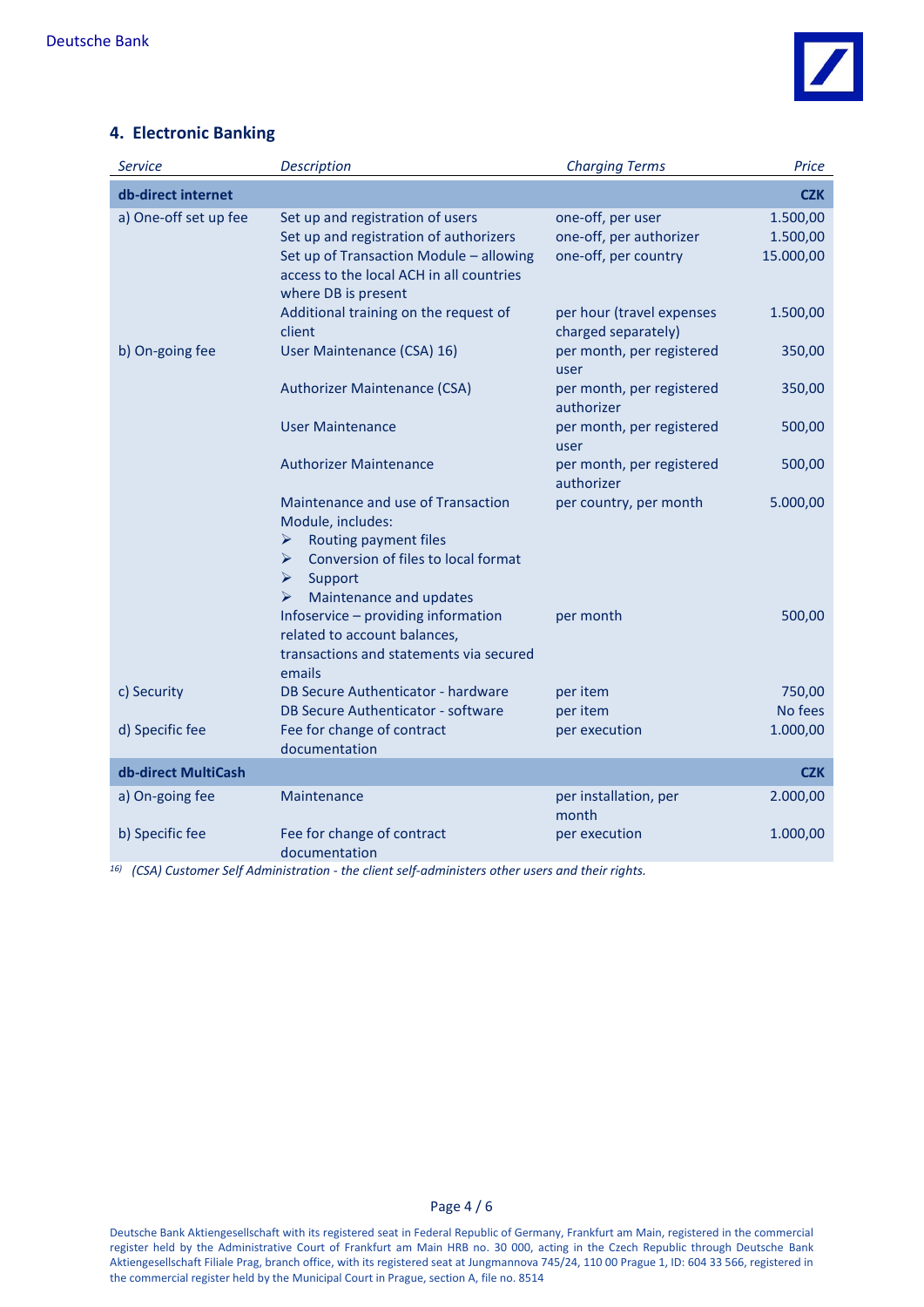

## **4. Electronic Banking**

| <b>Service</b>        | <b>Description</b>                                                                                                                                                                       | <b>Charging Terms</b>                                                | Price                             |
|-----------------------|------------------------------------------------------------------------------------------------------------------------------------------------------------------------------------------|----------------------------------------------------------------------|-----------------------------------|
| db-direct internet    |                                                                                                                                                                                          |                                                                      | <b>CZK</b>                        |
| a) One-off set up fee | Set up and registration of users<br>Set up and registration of authorizers<br>Set up of Transaction Module - allowing<br>access to the local ACH in all countries<br>where DB is present | one-off, per user<br>one-off, per authorizer<br>one-off, per country | 1.500,00<br>1.500,00<br>15.000,00 |
|                       | Additional training on the request of<br>client                                                                                                                                          | per hour (travel expenses<br>charged separately)                     | 1.500,00                          |
| b) On-going fee       | User Maintenance (CSA) 16)                                                                                                                                                               | per month, per registered<br>user                                    | 350,00                            |
|                       | <b>Authorizer Maintenance (CSA)</b>                                                                                                                                                      | per month, per registered<br>authorizer                              | 350,00                            |
|                       | <b>User Maintenance</b>                                                                                                                                                                  | per month, per registered<br>user                                    | 500,00                            |
|                       | <b>Authorizer Maintenance</b>                                                                                                                                                            | per month, per registered<br>authorizer                              | 500,00                            |
|                       | Maintenance and use of Transaction<br>Module, includes:<br>Routing payment files<br>➤<br>Conversion of files to local format<br>⋗<br>Support<br>➤<br>Maintenance and updates<br>➤        | per country, per month                                               | 5.000,00                          |
|                       | Infoservice - providing information<br>related to account balances,<br>transactions and statements via secured<br>emails                                                                 | per month                                                            | 500,00                            |
| c) Security           | DB Secure Authenticator - hardware<br>DB Secure Authenticator - software                                                                                                                 | per item<br>per item                                                 | 750,00<br>No fees                 |
| d) Specific fee       | Fee for change of contract<br>documentation                                                                                                                                              | per execution                                                        | 1.000,00                          |
| db-direct MultiCash   |                                                                                                                                                                                          |                                                                      | <b>CZK</b>                        |
| a) On-going fee       | Maintenance                                                                                                                                                                              | per installation, per<br>month                                       | 2.000,00                          |
| b) Specific fee       | Fee for change of contract<br>documentation<br>16 (CCA) Customers Calf Administration , the eligible of administers at housiness and their viole                                         | per execution                                                        | 1.000,00                          |

*16) (CSA) Customer Self Administration - the client self-administers other users and their rights.*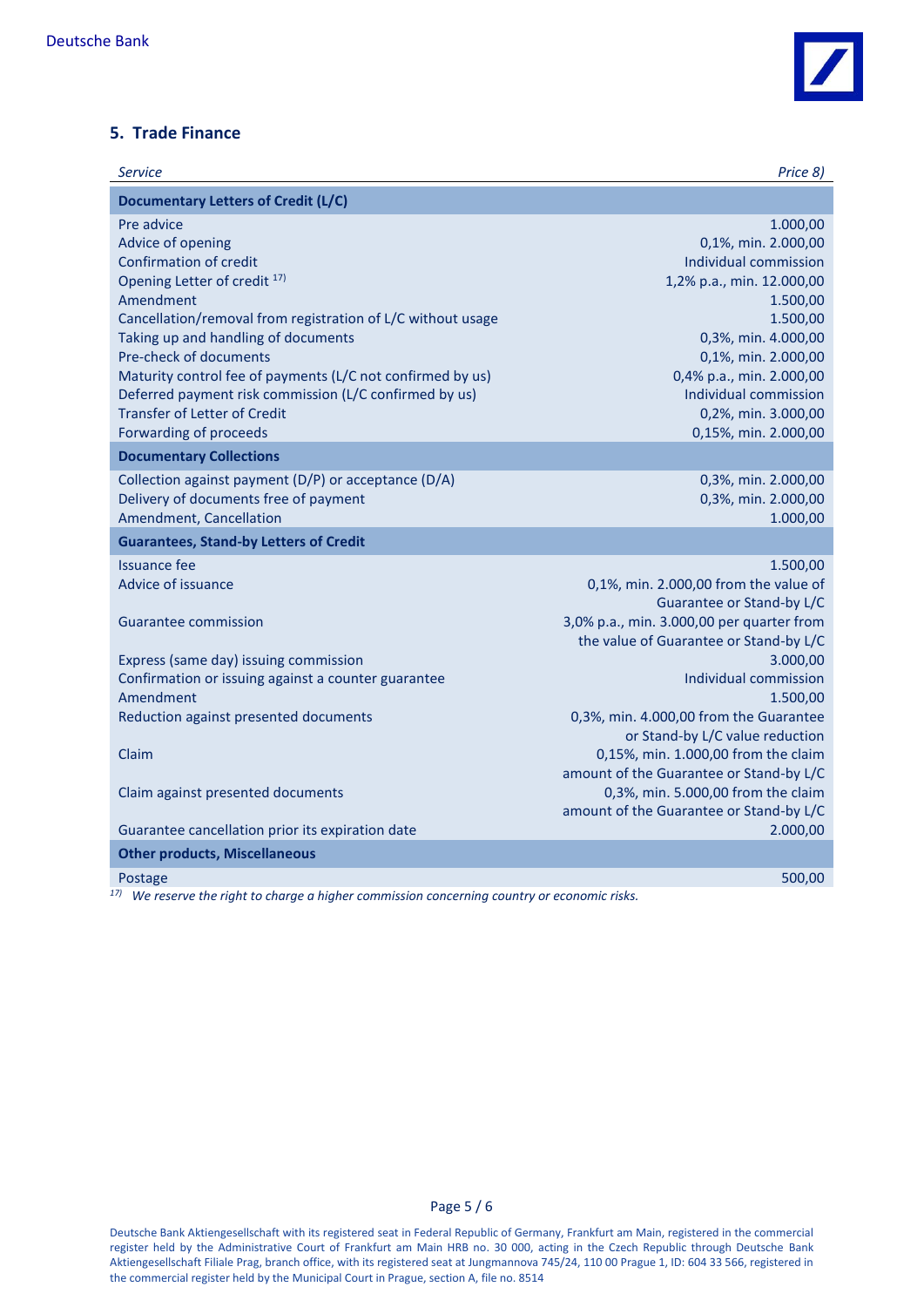

## **5. Trade Finance**

| <b>Service</b>                                                                               | Price 8)                                           |
|----------------------------------------------------------------------------------------------|----------------------------------------------------|
| <b>Documentary Letters of Credit (L/C)</b>                                                   |                                                    |
| Pre advice<br>Advice of opening                                                              | 1.000,00<br>0,1%, min. 2.000,00                    |
| <b>Confirmation of credit</b>                                                                | Individual commission                              |
| Opening Letter of credit <sup>17)</sup>                                                      | 1,2% p.a., min. 12.000,00                          |
| Amendment                                                                                    | 1.500,00                                           |
| Cancellation/removal from registration of L/C without usage                                  | 1.500,00                                           |
| Taking up and handling of documents<br>Pre-check of documents                                | 0,3%, min. 4.000,00<br>0,1%, min. 2.000,00         |
| Maturity control fee of payments (L/C not confirmed by us)                                   | 0,4% p.a., min. 2.000,00                           |
| Deferred payment risk commission (L/C confirmed by us)                                       | Individual commission                              |
| <b>Transfer of Letter of Credit</b>                                                          | 0,2%, min. 3.000,00                                |
| Forwarding of proceeds                                                                       | 0,15%, min. 2.000,00                               |
| <b>Documentary Collections</b>                                                               |                                                    |
| Collection against payment (D/P) or acceptance (D/A)                                         | 0,3%, min. 2.000,00                                |
| Delivery of documents free of payment                                                        | 0,3%, min. 2.000,00                                |
| Amendment, Cancellation                                                                      | 1.000,00                                           |
| <b>Guarantees, Stand-by Letters of Credit</b>                                                |                                                    |
| <b>Issuance fee</b>                                                                          | 1.500,00                                           |
| Advice of issuance                                                                           | 0,1%, min. 2.000,00 from the value of              |
|                                                                                              | Guarantee or Stand-by L/C                          |
| <b>Guarantee commission</b>                                                                  | 3,0% p.a., min. 3.000,00 per quarter from          |
|                                                                                              | the value of Guarantee or Stand-by L/C<br>3.000,00 |
| Express (same day) issuing commission<br>Confirmation or issuing against a counter guarantee | Individual commission                              |
| Amendment                                                                                    | 1.500,00                                           |
| Reduction against presented documents                                                        | 0,3%, min. 4.000,00 from the Guarantee             |
|                                                                                              | or Stand-by L/C value reduction                    |
| Claim                                                                                        | 0,15%, min. 1.000,00 from the claim                |
|                                                                                              | amount of the Guarantee or Stand-by L/C            |
| Claim against presented documents                                                            | 0,3%, min. 5.000,00 from the claim                 |
|                                                                                              | amount of the Guarantee or Stand-by L/C            |
| Guarantee cancellation prior its expiration date                                             | 2.000,00                                           |
| <b>Other products, Miscellaneous</b>                                                         |                                                    |
| Postage                                                                                      | 500,00                                             |

*17) We reserve the right to charge a higher commission concerning country or economic risks.*